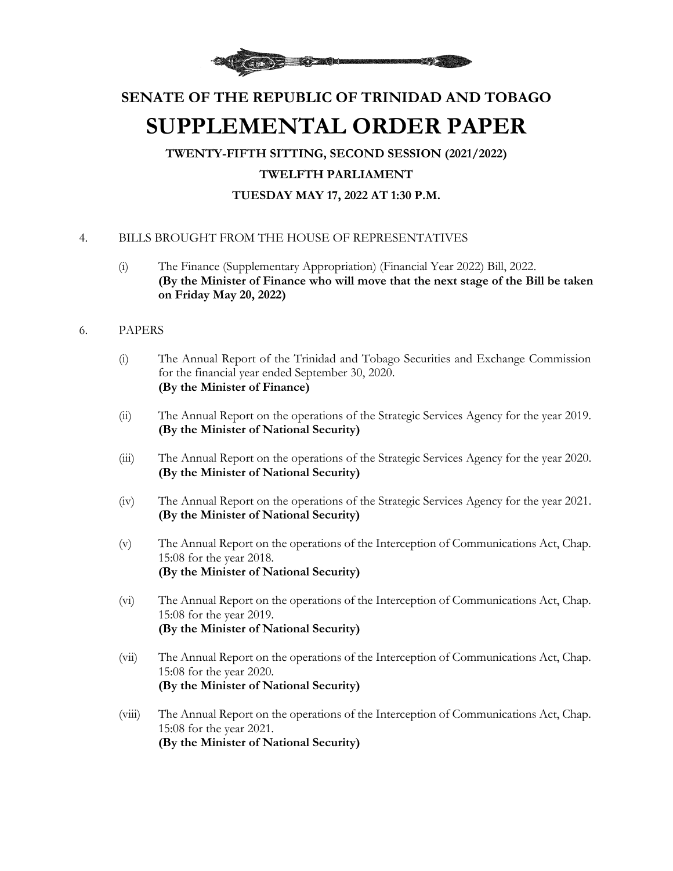

## **SENATE OF THE REPUBLIC OF TRINIDAD AND TOBAGO SUPPLEMENTAL ORDER PAPER**

**TWENTY-FIFTH SITTING, SECOND SESSION (2021/2022) TWELFTH PARLIAMENT TUESDAY MAY 17, 2022 AT 1:30 P.M.**

## 4. BILLS BROUGHT FROM THE HOUSE OF REPRESENTATIVES

- (i) The Finance (Supplementary Appropriation) (Financial Year 2022) Bill, 2022. **(By the Minister of Finance who will move that the next stage of the Bill be taken on Friday May 20, 2022)**
- 6. PAPERS
	- (i) The Annual Report of the Trinidad and Tobago Securities and Exchange Commission for the financial year ended September 30, 2020. **(By the Minister of Finance)**
	- (ii) The Annual Report on the operations of the Strategic Services Agency for the year 2019. **(By the Minister of National Security)**
	- (iii) The Annual Report on the operations of the Strategic Services Agency for the year 2020. **(By the Minister of National Security)**
	- (iv) The Annual Report on the operations of the Strategic Services Agency for the year 2021. **(By the Minister of National Security)**
	- (v) The Annual Report on the operations of the Interception of Communications Act, Chap. 15:08 for the year 2018. **(By the Minister of National Security)**
	- (vi) The Annual Report on the operations of the Interception of Communications Act, Chap. 15:08 for the year 2019. **(By the Minister of National Security)**
	- (vii) The Annual Report on the operations of the Interception of Communications Act, Chap. 15:08 for the year 2020. **(By the Minister of National Security)**
	- (viii) The Annual Report on the operations of the Interception of Communications Act, Chap. 15:08 for the year 2021. **(By the Minister of National Security)**